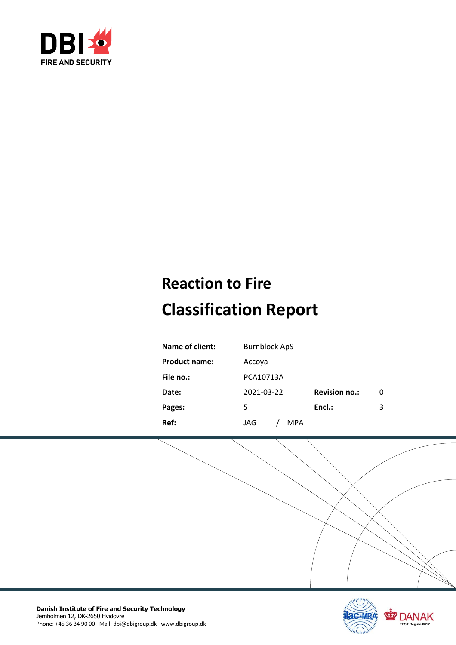

# **Reaction to Fire Classification Report**

| Name of client:      | <b>Burnblock ApS</b> |                      |   |
|----------------------|----------------------|----------------------|---|
| <b>Product name:</b> | Accoya               |                      |   |
| File no.:            | PCA10713A            |                      |   |
| Date:                | 2021-03-22           | <b>Revision no.:</b> | 0 |
| Pages:               | 5                    | Encl.:               | 3 |
| Ref:                 | JAG<br>MPA           |                      |   |

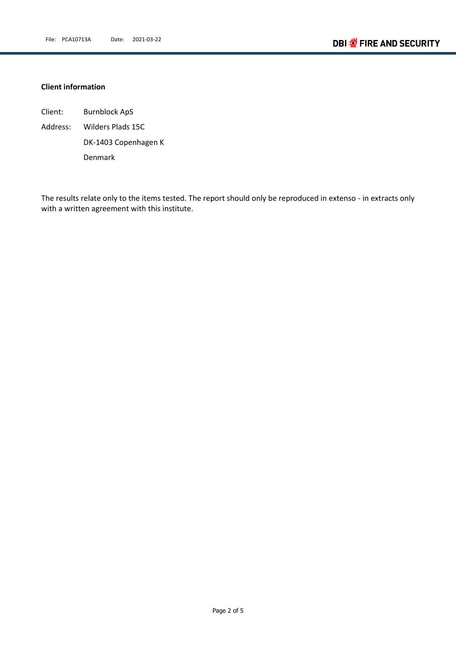#### **Client information**

Client: Burnblock ApS Address: Wilders Plads 15C DK-1403 Copenhagen K Denmark

The results relate only to the items tested. The report should only be reproduced in extenso - in extracts only with a written agreement with this institute.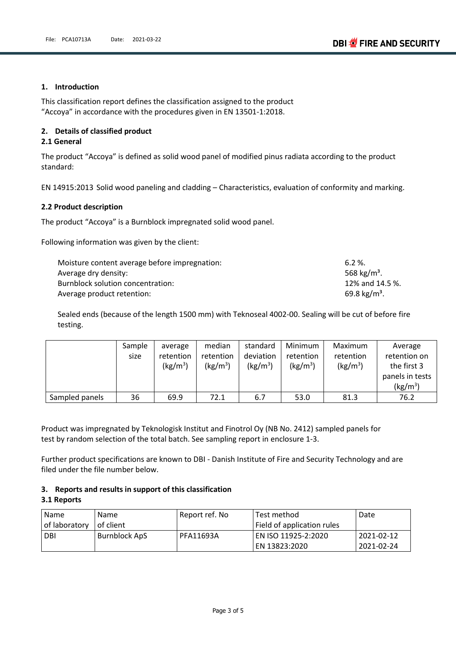#### **1. Introduction**

This classification report defines the classification assigned to the product "Accoya" in accordance with the procedures given in EN 13501-1:2018.

#### **2. Details of classified product**

#### **2.1 General**

The product "Accoya" is defined as solid wood panel of modified pinus radiata according to the product standard:

EN 14915:2013 Solid wood paneling and cladding – Characteristics, evaluation of conformity and marking.

#### **2.2 Product description**

The product "Accoya" is a Burnblock impregnated solid wood panel.

Following information was given by the client:

| Moisture content average before impregnation: | $6.2 \%$                 |
|-----------------------------------------------|--------------------------|
| Average dry density:                          | 568 kg/m <sup>3</sup> .  |
| Burnblock solution concentration:             | 12% and 14.5 %.          |
| Average product retention:                    | 69.8 kg/m <sup>3</sup> . |

Sealed ends (because of the length 1500 mm) with Teknoseal 4002-00. Sealing will be cut of before fire testing.

|                | Sample | average              | median     | standard             | Minimum              | Maximum              | Average              |
|----------------|--------|----------------------|------------|----------------------|----------------------|----------------------|----------------------|
|                | size   | retention            | retention  | deviation            | retention            | retention            | retention on         |
|                |        | (kg/m <sup>3</sup> ) | $(kg/m^3)$ | (kg/m <sup>3</sup> ) | (kg/m <sup>3</sup> ) | (kg/m <sup>3</sup> ) | the first 3          |
|                |        |                      |            |                      |                      |                      | panels in tests      |
|                |        |                      |            |                      |                      |                      | (kg/m <sup>3</sup> ) |
| Sampled panels | 36     | 69.9                 | 72.1       | 6.7                  | 53.0                 | 81.3                 | 76.2                 |

Product was impregnated by Teknologisk Institut and Finotrol Oy (NB No. 2412) sampled panels for test by random selection of the total batch. See sampling report in enclosure 1-3.

Further product specifications are known to DBI - Danish Institute of Fire and Security Technology and are filed under the file number below.

#### **3. Reports and results in support of this classification**

#### **3.1 Reports**

| Name          | <b>Name</b>   | Report ref. No | Test method                | Date       |
|---------------|---------------|----------------|----------------------------|------------|
| of laboratory | l of client   |                | Field of application rules |            |
| DBI           | Burnblock ApS | PFA11693A      | EN ISO 11925-2:2020        | 2021-02-12 |
|               |               |                | EN 13823:2020              | 2021-02-24 |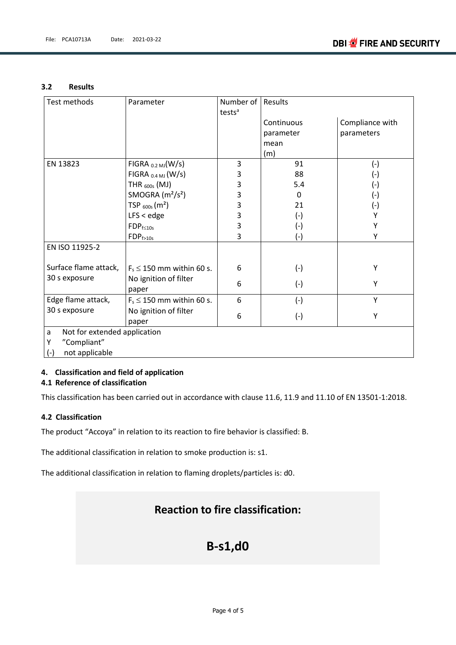#### **3.2 Results**

| Test methods                      | Parameter                       | Number of<br>tests <sup>a</sup> | Results    |                    |  |
|-----------------------------------|---------------------------------|---------------------------------|------------|--------------------|--|
|                                   |                                 |                                 | Continuous | Compliance with    |  |
|                                   |                                 |                                 | parameter  | parameters         |  |
|                                   |                                 |                                 | mean       |                    |  |
|                                   |                                 |                                 | (m)        |                    |  |
| EN 13823                          | $FIGRA_{ 0.2 MJ}(W/s)$          | 3                               | 91         | $(-)$              |  |
|                                   | FIGRA $_{0.4 \text{ MJ}}$ (W/s) | 3                               | 88         | $(\textnormal{-})$ |  |
|                                   | THR $_{600s}$ (MJ)              | 3                               | 5.4        | $(-)$              |  |
|                                   | SMOGRA $(m2/s2)$                | 3                               | $\Omega$   | $(-)$              |  |
|                                   | TSP $_{600s}$ (m <sup>2</sup> ) | 3                               | 21         | $(-)$              |  |
|                                   | $LFS <$ edge                    | 3                               | $(-)$      | Υ                  |  |
|                                   | $FDP_{f \leq 10s}$              | 3                               | $(-)$      | Υ                  |  |
|                                   | $FDP_{f>10s}$                   | 3                               | $(-)$      | Υ                  |  |
| EN ISO 11925-2                    |                                 |                                 |            |                    |  |
| Surface flame attack,             | $F_s \le 150$ mm within 60 s.   | 6                               | $(-)$      | Υ                  |  |
| 30 s exposure                     | No ignition of filter<br>paper  | 6                               | $(-)$      | Υ                  |  |
| Edge flame attack,                | $F_s \le 150$ mm within 60 s.   | 6                               | $(-)$      | Y                  |  |
| 30 s exposure                     | No ignition of filter           | 6                               |            | Υ                  |  |
|                                   | paper                           |                                 | $(-)$      |                    |  |
| Not for extended application<br>a |                                 |                                 |            |                    |  |
| "Compliant"<br>Υ                  |                                 |                                 |            |                    |  |
| not applicable<br>$(-)$           |                                 |                                 |            |                    |  |

#### **4. Classification and field of application 4.1 Reference of classification**

This classification has been carried out in accordance with clause 11.6, 11.9 and 11.10 of EN 13501-1:2018.

#### **4.2 Classification**

The product "Accoya" in relation to its reaction to fire behavior is classified: B.

The additional classification in relation to smoke production is: s1.

The additional classification in relation to flaming droplets/particles is: d0.

### **Reaction to fire classification:**

## **B-s1,d0**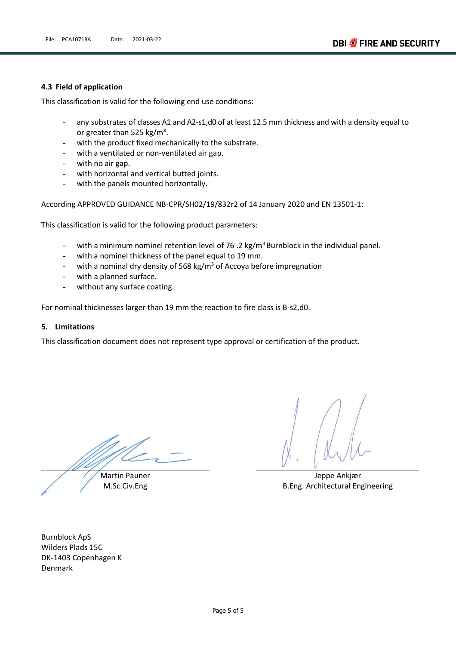#### **4.3 Field of application**

This classification is valid for the following end use conditions:

- any substrates of classes A1 and A2-s1,d0 of at least 12.5 mm thickness and with a density equal to or greater than 525 kg/m<sup>3</sup>.
- with the product fixed mechanically to the substrate.
- with a ventilated or non-ventilated air gap.
- with no air gap.
- with horizontal and vertical butted joints.
- with the panels mounted horizontally.

According APPROVED GUIDANCE NB-CPR/SH02/19/832r2 of 14 January 2020 and EN 13501-1:

This classification is valid for the following product parameters:

- with a minimum nominel retention level of 76 .2 kg/m<sup>3</sup> Burnblock in the individual panel.
- with a nominel thickness of the panel equal to 19 mm.
- with a nominal dry density of 568 kg/m<sup>3</sup> of Accoya before impregnation
- with a planned surface.
- without any surface coating.

For nominal thicknesses larger than 19 mm the reaction to fire class is B-s2,d0.

#### **5. Limitations**

This classification document does not represent type approval or certification of the product.

Martin Pauner

M.Sc.Civ.Eng

Jeppe Ankjær B.Eng. Architectural Engineering

Burnblock ApS Wilders Plads 15C DK-1403 Copenhagen K Denmark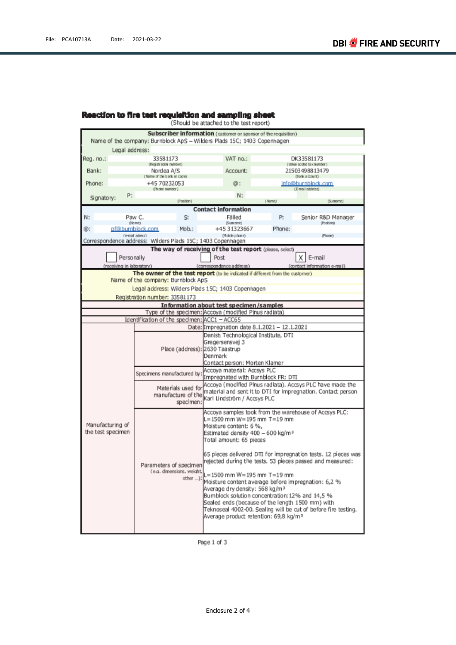## **Reaction to fire test requisition and sampling sheet**<br>(Should be attached to the test report)

|                           | Subscriber information (customer or sponsor of the requisition)                                       |                                                                                                                     |        |                                                               |  |  |
|---------------------------|-------------------------------------------------------------------------------------------------------|---------------------------------------------------------------------------------------------------------------------|--------|---------------------------------------------------------------|--|--|
|                           | Name of the company: Burnblock ApS - Wilders Plads 15C; 1403 Copenhagen                               |                                                                                                                     |        |                                                               |  |  |
| Legal address:            |                                                                                                       |                                                                                                                     |        |                                                               |  |  |
| Req. no.:                 | 33581173<br>(Registration number)                                                                     | VAT no.:                                                                                                            |        | DK33581173<br>(Value added tax number)                        |  |  |
| Bank:                     | Nordea A/S                                                                                            | Account:                                                                                                            |        | 21503498813479                                                |  |  |
|                           | (Name of the bank or code)                                                                            |                                                                                                                     |        | (Bank account)                                                |  |  |
| Phone:                    | +45 70232053<br>(Phone number)                                                                        | ω:                                                                                                                  |        | info@burnblock.com<br>(E-mail address)                        |  |  |
| P:                        |                                                                                                       | N:                                                                                                                  |        |                                                               |  |  |
| Signatory:                | (Position)                                                                                            |                                                                                                                     | (Name) | (Surreme)                                                     |  |  |
|                           |                                                                                                       | <b>Contact information</b>                                                                                          |        |                                                               |  |  |
| N:                        | Paw C.<br>S.<br>(Name)                                                                                | Fälled<br>(Sumame)                                                                                                  | P:     | Senior R&D Manager<br>(Position)                              |  |  |
| ⊚:                        | pf@burnblock.com<br>Mob.:                                                                             | +45 31323667                                                                                                        | Phone: |                                                               |  |  |
|                           | (e-mail adress)                                                                                       | (Mobile phone)                                                                                                      |        | (Phone)                                                       |  |  |
|                           | Correspondence address: Wilders Plads 15C; 1403 Copenhagen                                            |                                                                                                                     |        |                                                               |  |  |
|                           |                                                                                                       | The way of receiving of the test report (please, select)                                                            |        |                                                               |  |  |
|                           | Personally                                                                                            | Post                                                                                                                |        | х<br>E-mail                                                   |  |  |
| (receiving in laboratory) |                                                                                                       | (correspondence address)                                                                                            |        | (contact information e-mail)                                  |  |  |
|                           | The owner of the test report (to be indicated if different from the customer)                         |                                                                                                                     |        |                                                               |  |  |
|                           | Name of the company: Burnblock ApS                                                                    |                                                                                                                     |        |                                                               |  |  |
|                           | Legal address: Wilders Plads 15C; 1403 Copenhagen                                                     |                                                                                                                     |        |                                                               |  |  |
|                           | Registration number: 33581173                                                                         |                                                                                                                     |        |                                                               |  |  |
|                           |                                                                                                       | Information about test specimen/samples                                                                             |        |                                                               |  |  |
|                           | Type of the specimen: Accoya (modified Pinus radiata)<br>Identification of the specimen: ACC1 - ACC65 |                                                                                                                     |        |                                                               |  |  |
|                           |                                                                                                       | Date: Impregnation date 8.1.2021 - 12.1.2021                                                                        |        |                                                               |  |  |
|                           |                                                                                                       | Danish Technological Institute, DTI                                                                                 |        |                                                               |  |  |
|                           |                                                                                                       | Gregersensvej 3                                                                                                     |        |                                                               |  |  |
|                           | Place (address): 2630 Taastrup                                                                        |                                                                                                                     |        |                                                               |  |  |
|                           |                                                                                                       | Denmark                                                                                                             |        |                                                               |  |  |
|                           |                                                                                                       | Contact person: Morten Klamer                                                                                       |        |                                                               |  |  |
|                           | Specimens manufactured by:                                                                            | Accoya material: Accsys PLC                                                                                         |        |                                                               |  |  |
|                           |                                                                                                       | Impregnated with Burnblock FR: DTI                                                                                  |        |                                                               |  |  |
|                           | Materials used for                                                                                    |                                                                                                                     |        | Accoya (modified Pinus radiata). Accsys PLC have made the     |  |  |
|                           | manufacture of the                                                                                    | Karl Lindström / Accsys PLC                                                                                         |        | material and sent it to DTI for impregnation. Contact person  |  |  |
|                           | specimen:                                                                                             |                                                                                                                     |        |                                                               |  |  |
|                           |                                                                                                       |                                                                                                                     |        | Accoya samples took from the warehouse of Accsys PLC:         |  |  |
|                           |                                                                                                       | L=1500 mm W=195 mm T=19 mm                                                                                          |        |                                                               |  |  |
| Manufacturing of          |                                                                                                       | Moisture content: 6 %,                                                                                              |        |                                                               |  |  |
| the test specimen         |                                                                                                       | Estimated density 400 - 600 kg/m <sup>3</sup><br>Total amount: 65 pieces                                            |        |                                                               |  |  |
|                           |                                                                                                       |                                                                                                                     |        |                                                               |  |  |
|                           |                                                                                                       |                                                                                                                     |        | 65 pieces delivered DTI for impregnation tests. 12 pieces was |  |  |
|                           |                                                                                                       |                                                                                                                     |        | rejected during the tests. 53 pieces passed and measured:     |  |  |
|                           | Parameters of specimen<br>(e.g. dimensions, weight,                                                   |                                                                                                                     |        |                                                               |  |  |
|                           |                                                                                                       | L=1500 mm W=195 mm T=19 mm                                                                                          |        |                                                               |  |  |
|                           |                                                                                                       | other ): Moisture content average before impregnation: 6,2 %                                                        |        |                                                               |  |  |
|                           |                                                                                                       | Average dry density: 568 kg/m <sup>3</sup>                                                                          |        |                                                               |  |  |
|                           |                                                                                                       | Bumblock solution concentration: 12% and 14,5 %<br>Sealed ends (because of the length 1500 mm) with                 |        |                                                               |  |  |
|                           |                                                                                                       |                                                                                                                     |        |                                                               |  |  |
|                           |                                                                                                       | Teknoseal 4002-00. Sealing will be cut of before fire testing.<br>Average product retention: 69,8 kg/m <sup>3</sup> |        |                                                               |  |  |
|                           |                                                                                                       |                                                                                                                     |        |                                                               |  |  |
|                           |                                                                                                       |                                                                                                                     |        |                                                               |  |  |

Page 1 of 3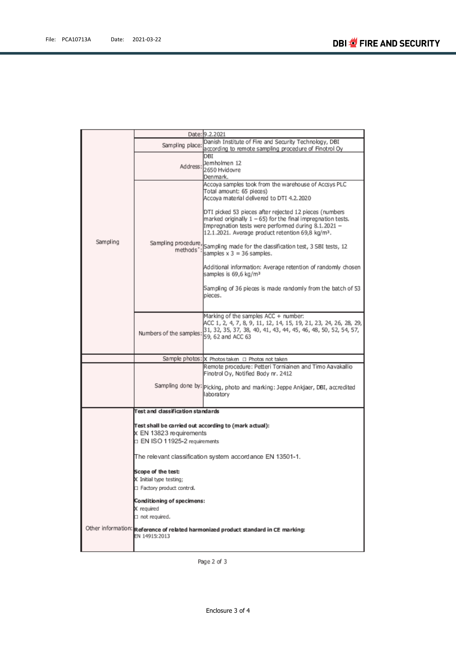|          |                                                       | Date: 9.2.2021                                                                                                                                                                                                                                   |  |
|----------|-------------------------------------------------------|--------------------------------------------------------------------------------------------------------------------------------------------------------------------------------------------------------------------------------------------------|--|
|          | Sampling place:                                       | Danish Institute of Fire and Security Technology, DBI                                                                                                                                                                                            |  |
|          |                                                       | according to remote sampling procedure of Finotrol Oy                                                                                                                                                                                            |  |
|          |                                                       | DBI<br>Jemholmen 12                                                                                                                                                                                                                              |  |
|          | Address:                                              | 2650 Hvidovre                                                                                                                                                                                                                                    |  |
|          |                                                       | Denmark.                                                                                                                                                                                                                                         |  |
|          |                                                       | Accoya samples took from the warehouse of Accsys PLC<br>Total amount: 65 pieces)<br>Accova material delivered to DTI 4.2.2020                                                                                                                    |  |
|          |                                                       | DTI picked 53 pieces after rejected 12 pieces (numbers<br>marked originally $1 - 65$ ) for the final impregnation tests.<br>Impregnation tests were performed during 8.1.2021 -<br>12.1.2021. Average product retention 69,8 kg/m <sup>3</sup> . |  |
| Sampling | methods":                                             | Sampling procedure, Sampling made for the dassification test, 3 SBI tests, 12<br>samples $x 3 = 36$ samples.                                                                                                                                     |  |
|          |                                                       | Additional information: Average retention of randomly chosen<br>samples is 69,6 kg/m <sup>3</sup>                                                                                                                                                |  |
|          |                                                       | Sampling of 36 pieces is made randomly from the batch of 53<br>pieces.                                                                                                                                                                           |  |
|          |                                                       |                                                                                                                                                                                                                                                  |  |
|          | Numbers of the samples: 59, 62 and ACC 63             | Marking of the samples ACC + number:<br>ACC 1, 2, 4, 7, 8, 9, 11, 12, 14, 15, 19, 21, 23, 24, 26, 28, 29,<br>31, 32, 35, 37, 38, 40, 41, 43, 44, 45, 46, 48, 50, 52, 54, 57,                                                                     |  |
|          |                                                       |                                                                                                                                                                                                                                                  |  |
|          |                                                       | Sample photos: X Photos taken □ Photos not taken                                                                                                                                                                                                 |  |
|          |                                                       | Remote procedure: Petteri Torniainen and Timo Aavakallio<br>Finotrol Oy, Notified Body nr. 2412                                                                                                                                                  |  |
|          |                                                       | Sampling done by: Picking, photo and marking: Jeppe Ankjaer, DBI, accredited<br>laboratory                                                                                                                                                       |  |
|          | Test and classification standards                     |                                                                                                                                                                                                                                                  |  |
|          |                                                       |                                                                                                                                                                                                                                                  |  |
|          | Test shall be carried out according to (mark actual): |                                                                                                                                                                                                                                                  |  |
|          | X EN 13823 requirements                               |                                                                                                                                                                                                                                                  |  |
|          | $\Box$ EN ISO 11925-2 requirements                    |                                                                                                                                                                                                                                                  |  |
|          |                                                       | The relevant classification system accordance EN 13501-1.                                                                                                                                                                                        |  |
|          | Scope of the test:                                    |                                                                                                                                                                                                                                                  |  |
|          | X Initial type testing;                               |                                                                                                                                                                                                                                                  |  |
|          | Factory product control.                              |                                                                                                                                                                                                                                                  |  |
|          | Conditioning of specimens:                            |                                                                                                                                                                                                                                                  |  |
|          | X required                                            |                                                                                                                                                                                                                                                  |  |
|          | $\Box$ not required.                                  |                                                                                                                                                                                                                                                  |  |
|          |                                                       | Other information: Reference of related harmonized product standard in CE marking:                                                                                                                                                               |  |
|          | EN 14915:2013                                         |                                                                                                                                                                                                                                                  |  |
|          |                                                       |                                                                                                                                                                                                                                                  |  |

Page 2 of 3